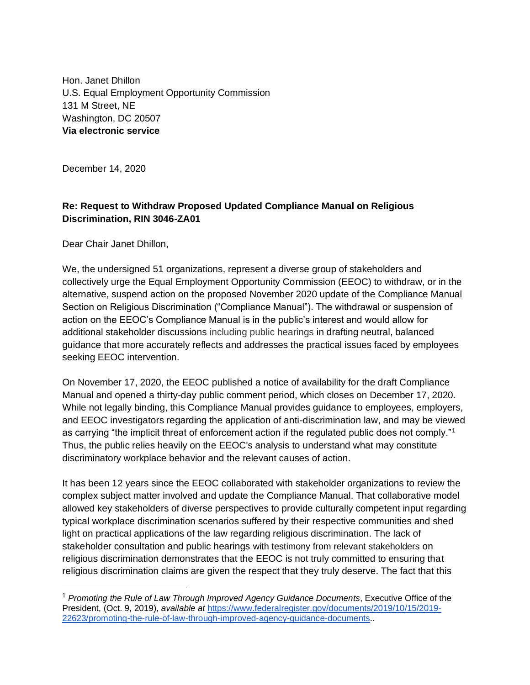Hon. Janet Dhillon U.S. Equal Employment Opportunity Commission 131 M Street, NE Washington, DC 20507 **Via electronic service**

December 14, 2020

## **Re: Request to Withdraw Proposed Updated Compliance Manual on Religious Discrimination, RIN 3046-ZA01**

Dear Chair Janet Dhillon,

We, the undersigned 51 organizations, represent a diverse group of stakeholders and collectively urge the Equal Employment Opportunity Commission (EEOC) to withdraw, or in the alternative, suspend action on the proposed November 2020 update of the Compliance Manual Section on Religious Discrimination ("Compliance Manual"). The withdrawal or suspension of action on the EEOC's Compliance Manual is in the public's interest and would allow for additional stakeholder discussions including public hearings in drafting neutral, balanced guidance that more accurately reflects and addresses the practical issues faced by employees seeking EEOC intervention.

On November 17, 2020, the EEOC published a notice of availability for the draft Compliance Manual and opened a thirty-day public comment period, which closes on December 17, 2020. While not legally binding, this Compliance Manual provides guidance to employees, employers, and EEOC investigators regarding the application of anti-discrimination law, and may be viewed as carrying "the implicit threat of enforcement action if the regulated public does not comply."<sup>1</sup> Thus, the public relies heavily on the EEOC's analysis to understand what may constitute discriminatory workplace behavior and the relevant causes of action.

It has been 12 years since the EEOC collaborated with stakeholder organizations to review the complex subject matter involved and update the Compliance Manual. That collaborative model allowed key stakeholders of diverse perspectives to provide culturally competent input regarding typical workplace discrimination scenarios suffered by their respective communities and shed light on practical applications of the law regarding religious discrimination. The lack of stakeholder consultation and public hearings with testimony from relevant stakeholders on religious discrimination demonstrates that the EEOC is not truly committed to ensuring that religious discrimination claims are given the respect that they truly deserve. The fact that this

<sup>1</sup> *Promoting the Rule of Law Through Improved Agency Guidance Documents*, Executive Office of the President, (Oct. 9, 2019), *available at* [https://www.federalregister.gov/documents/2019/10/15/2019-](https://www.federalregister.gov/documents/2019/10/15/2019-22623/promoting-the-rule-of-law-through-improved-agency-guidance-documents) [22623/promoting-the-rule-of-law-through-improved-agency-guidance-documents.](https://www.federalregister.gov/documents/2019/10/15/2019-22623/promoting-the-rule-of-law-through-improved-agency-guidance-documents).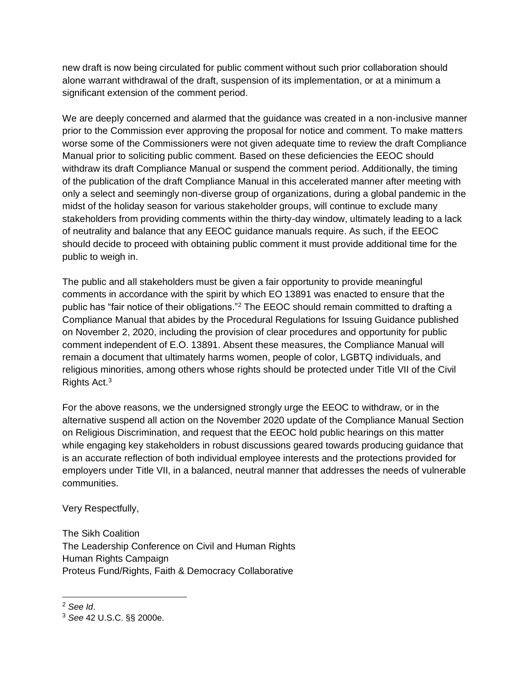new draft is now being circulated for public comment without such prior collaboration should alone warrant withdrawal of the draft, suspension of its implementation, or at a minimum a significant extension of the comment period.

We are deeply concerned and alarmed that the guidance was created in a non-inclusive manner prior to the Commission ever approving the proposal for notice and comment. To make matters worse some of the Commissioners were not given adequate time to review the draft Compliance Manual prior to soliciting public comment. Based on these deficiencies the EEOC should withdraw its draft Compliance Manual or suspend the comment period. Additionally, the timing of the publication of the draft Compliance Manual in this accelerated manner after meeting with only a select and seemingly non-diverse group of organizations, during a global pandemic in the midst of the holiday season for various stakeholder groups, will continue to exclude many stakeholders from providing comments within the thirty-day window, ultimately leading to a lack of neutrality and balance that any EEOC guidance manuals require. As such, if the EEOC should decide to proceed with obtaining public comment it must provide additional time for the public to weigh in.

The public and all stakeholders must be given a fair opportunity to provide meaningful comments in accordance with the spirit by which EO 13891 was enacted to ensure that the public has "fair notice of their obligations."<sup>2</sup> The EEOC should remain committed to drafting a Compliance Manual that abides by the Procedural Regulations for Issuing Guidance published on November 2, 2020, including the provision of clear procedures and opportunity for public comment independent of E.O. 13891. Absent these measures, the Compliance Manual will remain a document that ultimately harms women, people of color, LGBTQ individuals, and religious minorities, among others whose rights should be protected under Title VII of the Civil Rights Act.<sup>3</sup>

For the above reasons, we the undersigned strongly urge the EEOC to withdraw, or in the alternative suspend all action on the November 2020 update of the Compliance Manual Section on Religious Discrimination, and request that the EEOC hold public hearings on this matter while engaging key stakeholders in robust discussions geared towards producing guidance that is an accurate reflection of both individual employee interests and the protections provided for employers under Title VII, in a balanced, neutral manner that addresses the needs of vulnerable communities.

Very Respectfully,

The Sikh Coalition The Leadership Conference on Civil and Human Rights Human Rights Campaign Proteus Fund/Rights, Faith & Democracy Collaborative

<sup>2</sup> *See Id*.

<sup>3</sup> *See* 42 U.S.C. §§ 2000e.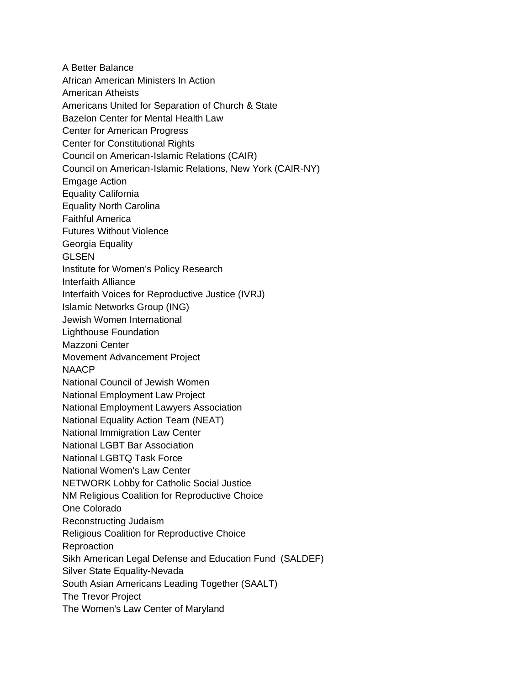A Better Balance African American Ministers In Action American Atheists Americans United for Separation of Church & State Bazelon Center for Mental Health Law Center for American Progress Center for Constitutional Rights Council on American-Islamic Relations (CAIR) Council on American-Islamic Relations, New York (CAIR-NY) Emgage Action Equality California Equality North Carolina Faithful America Futures Without Violence Georgia Equality GLSEN Institute for Women's Policy Research Interfaith Alliance Interfaith Voices for Reproductive Justice (IVRJ) Islamic Networks Group (ING) Jewish Women International Lighthouse Foundation Mazzoni Center Movement Advancement Project **NAACP** National Council of Jewish Women National Employment Law Project National Employment Lawyers Association National Equality Action Team (NEAT) National Immigration Law Center National LGBT Bar Association National LGBTQ Task Force National Women's Law Center NETWORK Lobby for Catholic Social Justice NM Religious Coalition for Reproductive Choice One Colorado Reconstructing Judaism Religious Coalition for Reproductive Choice Reproaction Sikh American Legal Defense and Education Fund (SALDEF) Silver State Equality-Nevada South Asian Americans Leading Together (SAALT) The Trevor Project The Women's Law Center of Maryland